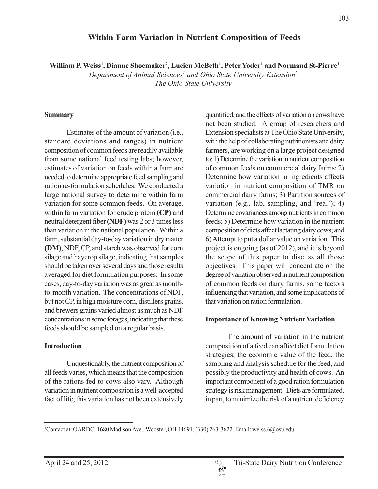# **Within Farm Variation in Nutrient Composition of Feeds**

**William P. Weiss1 , Dianne Shoemaker2 , Lucien McBeth1 , Peter Yoder1 and Normand St-Pierre1**

Department of Animal Sciences<sup>1</sup> and Ohio State University Extension<sup>2</sup> *The Ohio State University*

#### **Summary**

Estimates of the amount of variation (i.e., standard deviations and ranges) in nutrient composition of common feeds are readily available from some national feed testing labs; however, estimates of variation on feeds within a farm are needed to determine appropriate feed sampling and ration re-formulation schedules. We conducted a large national survey to determine within farm variation for some common feeds. On average, within farm variation for crude protein **(CP)** and neutral detergent fiber **(NDF)** was 2 or 3 times less than variation in the national population. Within a farm, substantial day-to-day variation in dry matter **(DM)**, NDF, CP, and starch was observed for corn silage and haycrop silage, indicating that samples should be taken over several days and those results averaged for diet formulation purposes. In some cases, day-to-day variation was as great as monthto-month variation. The concentrations of NDF, but not CP, in high moisture corn, distillers grains, and brewers grains varied almost as much as NDF concentrations in some forages, indicating that these feeds should be sampled on a regular basis.

#### **Introduction**

Unquestionably, the nutrient composition of all feeds varies, which means that the composition of the rations fed to cows also vary. Although variation in nutrient composition is a well-accepted fact of life, this variation has not been extensively

quantified, and the effects of variation on cows have not been studied. A group of researchers and Extension specialists at The Ohio State University, with the help of collaborating nutritionists and dairy farmers, are working on a large project designed to: 1) Determine the variation in nutrient composition of common feeds on commercial dairy farms; 2) Determine how variation in ingredients affects variation in nutrient composition of TMR on commercial dairy farms; 3) Partition sources of variation (e.g., lab, sampling, and 'real'); 4) Determine covariances among nutrients in common feeds; 5) Determine how variation in the nutrient composition of diets affect lactating dairy cows; and 6) Attempt to put a dollar value on variation. This project is ongoing (as of 2012), and it is beyond the scope of this paper to discuss all those objectives. This paper will concentrate on the degree of variation observed in nutrient composition of common feeds on dairy farms, some factors influencing that variation, and some implications of that variation on ration formulation.

#### **Importance of Knowing Nutrient Variation**

The amount of variation in the nutrient composition of a feed can affect diet formulation strategies, the economic value of the feed, the sampling and analysis schedule for the feed, and possibly the productivity and health of cows. An important component of a good ration formulation strategy is risk management. Diets are formulated, in part, to minimize the risk of a nutrient deficiency



<sup>1</sup> Contact at: OARDC, 1680 Madison Ave., Wooster, OH 44691, (330) 263-3622. Email: weiss.6@osu.edu.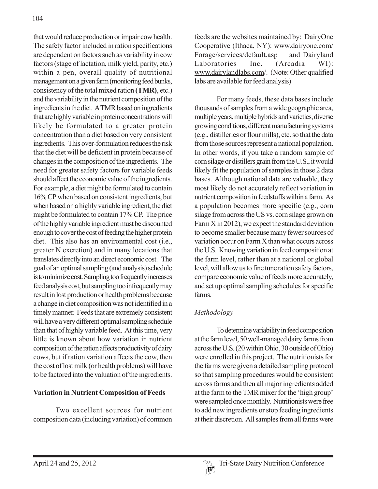that would reduce production or impair cow health. The safety factor included in ration specifications are dependent on factors such as variability in cow factors (stage of lactation, milk yield, parity, etc.) within a pen, overall quality of nutritional management on a given farm (monitoring feed bunks, consistency of the total mixed ration **(TMR)**, etc.) and the variability in the nutrient composition of the ingredients in the diet. A TMR based on ingredients that are highly variable in protein concentrations will likely be formulated to a greater protein concentration than a diet based on very consistent ingredients. This over-formulation reduces the risk that the diet will be deficient in protein because of changes in the composition of the ingredients. The need for greater safety factors for variable feeds should affect the economic value of the ingredients. For example, a diet might be formulated to contain 16% CP when based on consistent ingredients, but when based on a highly variable ingredient, the diet might be formulated to contain 17% CP. The price of the highly variable ingredient must be discounted enough to cover the cost of feeding the higher protein diet. This also has an environmental cost (i.e., greater N excretion) and in many locations that translates directly into an direct economic cost. The goal of an optimal sampling (and analysis) schedule is to minimize cost. Sampling too frequently increases feed analysis cost, but sampling too infrequently may result in lost production or health problems because a change in diet composition was not identified in a timely manner. Feeds that are extremely consistent will have a very different optimal sampling schedule than that of highly variable feed. At this time, very little is known about how variation in nutrient composition of the ration affects productivity of dairy cows, but if ration variation affects the cow, then the cost of lost milk (or health problems) will have to be factored into the valuation of the ingredients.

### **Variation in Nutrient Composition of Feeds**

Two excellent sources for nutrient composition data (including variation) of common feeds are the websites maintained by: DairyOne Cooperative (Ithaca, NY): www.dairyone.com/ Forage/services/default.asp and Dairyland Laboratories Inc. (Arcadia WI): www.dairylandlabs.com/. (Note: Other qualified labs are available for feed analysis)

For many feeds, these data bases include thousands of samples from a wide geographic area, multiple years, multiple hybrids and varieties, diverse growing conditions, different manufacturing systems (e.g., distilleries or flour mills), etc. so that the data from those sources represent a national population. In other words, if you take a random sample of corn silage or distillers grain from the U.S., it would likely fit the population of samples in those 2 data bases. Although national data are valuable, they most likely do not accurately reflect variation in nutrient composition in feedstuffs within a farm. As a population becomes more specific (e.g., corn silage from across the US vs. corn silage grown on Farm X in 2012), we expect the standard deviation to become smaller because many fewer sources of variation occur on Farm X than what occurs across the U.S. Knowing variation in feed composition at the farm level, rather than at a national or global level, will allow us to fine tune ration safety factors, compare economic value of feeds more accurately, and set up optimal sampling schedules for specific farms.

# *Methodology*

To determine variability in feed composition at the farm level, 50 well-managed dairy farms from across the U.S. (20 within Ohio, 30 outside of Ohio) were enrolled in this project. The nutritionists for the farms were given a detailed sampling protocol so that sampling procedures would be consistent across farms and then all major ingredients added at the farm to the TMR mixer for the 'high group' were sampled once monthly. Nutritionists were free to add new ingredients or stop feeding ingredients at their discretion. All samples from all farms were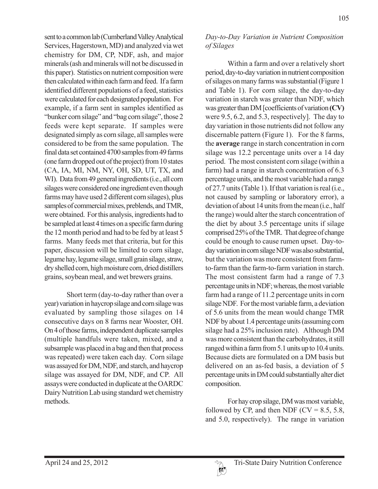sent to a common lab (Cumberland Valley Analytical Services, Hagerstown, MD) and analyzed via wet chemistry for DM, CP, NDF, ash, and major minerals (ash and minerals will not be discussed in this paper). Statistics on nutrient composition were then calculated within each farm and feed. If a farm identified different populations of a feed, statistics were calculated for each designated population. For example, if a farm sent in samples identified as "bunker corn silage" and "bag corn silage", those 2 feeds were kept separate. If samples were designated simply as corn silage, all samples were considered to be from the same population. The final data set contained 4700 samples from 49 farms (one farm dropped out of the project) from 10 states (CA, IA, MI, NM, NY, OH, SD, UT, TX, and WI). Data from 49 general ingredients (i.e., all corn silages were considered one ingredient even though farms may have used 2 different corn silages), plus samples of commercial mixes, preblends, and TMR, were obtained. For this analysis, ingredients had to be sampled at least 4 times on a specific farm during the 12 month period and had to be fed by at least 5 farms. Many feeds met that criteria, but for this paper, discussion will be limited to corn silage, legume hay, legume silage, small grain silage, straw, dry shelled corn, high moisture corn, dried distillers grains, soybean meal, and wet brewers grains.

Short term (day-to-day rather than over a year) variation in haycrop silage and corn silage was evaluated by sampling those silages on 14 consecutive days on 8 farms near Wooster, OH. On 4 of those farms, independent duplicate samples (multiple handfuls were taken, mixed, and a subsample was placed in a bag and then that process was repeated) were taken each day. Corn silage was assayed for DM, NDF, and starch, and haycrop silage was assayed for DM, NDF, and CP. All assays were conducted in duplicate at the OARDC Dairy Nutrition Lab using standard wet chemistry methods.

### *Day-to-Day Variation in Nutrient Composition of Silages*

Within a farm and over a relatively short period, day-to-day variation in nutrient composition of silages on many farms was substantial (Figure 1 and Table 1). For corn silage, the day-to-day variation in starch was greater than NDF, which was greater than DM [coefficients of variation **(CV)** were 9.5, 6.2, and 5.3, respectively]. The day to day variation in those nutrients did not follow any discernable pattern (Figure 1). For the 8 farms, the **average** range in starch concentration in corn silage was 12.2 percentage units over a 14 day period. The most consistent corn silage (within a farm) had a range in starch concentration of 6.3 percentage units, and the most variable had a range of 27.7 units (Table 1). If that variation is real (i.e., not caused by sampling or laboratory error), a deviation of about 14 units from the mean (i.e., half the range) would alter the starch concentration of the diet by about 3.5 percentage units if silage comprised 25% of the TMR. That degree of change could be enough to cause rumen upset. Day-today variation in corn silage NDF was also substantial, but the variation was more consistent from farmto-farm than the farm-to-farm variation in starch. The most consistent farm had a range of 7.3 percentage units in NDF; whereas, the most variable farm had a range of 11.2 percentage units in corn silage NDF. For the most variable farm, a deviation of 5.6 units from the mean would change TMR NDF by about 1.4 percentage units (assuming corn silage had a 25% inclusion rate). Although DM was more consistent than the carbohydrates, it still ranged within a farm from 5.1 units up to 10.4 units. Because diets are formulated on a DM basis but delivered on an as-fed basis, a deviation of 5 percentage units in DM could substantially alter diet composition.

For hay crop silage, DM was most variable, followed by CP, and then NDF ( $CV = 8.5, 5.8$ , and 5.0, respectively). The range in variation

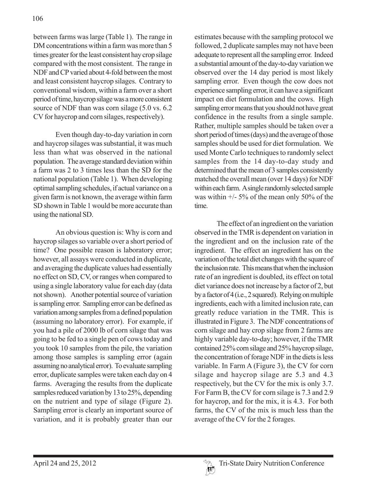between farms was large (Table 1). The range in DM concentrations within a farm was more than 5 times greater for the least consistent hay crop silage compared with the most consistent. The range in NDF and CP varied about 4-fold between the most and least consistent haycrop silages. Contrary to conventional wisdom, within a farm over a short period of time, haycrop silage was a more consistent source of NDF than was corn silage (5.0 vs. 6.2) CV for haycrop and corn silages, respectively).

Even though day-to-day variation in corn and haycrop silages was substantial, it was much less than what was observed in the national population. The average standard deviation within a farm was 2 to 3 times less than the SD for the national population (Table 1). When developing optimal sampling schedules, if actual variance on a given farm is not known, the average within farm SD shown in Table 1 would be more accurate than using the national SD.

An obvious question is: Why is corn and haycrop silages so variable over a short period of time? One possible reason is laboratory error; however, all assays were conducted in duplicate, and averaging the duplicate values had essentially no effect on SD, CV, or ranges when compared to using a single laboratory value for each day (data not shown). Another potential source of variation is sampling error. Sampling error can be defined as variation among samples from a defined population (assuming no laboratory error). For example, if you had a pile of 2000 lb of corn silage that was going to be fed to a single pen of cows today and you took 10 samples from the pile, the variation among those samples is sampling error (again assuming no analytical error). To evaluate sampling error, duplicate samples were taken each day on 4 farms. Averaging the results from the duplicate samples reduced variation by 13 to 25%, depending on the nutrient and type of silage (Figure 2). Sampling error is clearly an important source of variation, and it is probably greater than our

estimates because with the sampling protocol we followed, 2 duplicate samples may not have been adequate to represent all the sampling error. Indeed a substantial amount of the day-to-day variation we observed over the 14 day period is most likely sampling error. Even though the cow does not experience sampling error, it can have a significant impact on diet formulation and the cows. High sampling error means that you should not have great confidence in the results from a single sample. Rather, multiple samples should be taken over a short period of times (days) and the average of those samples should be used for diet formulation. We used Monte Carlo techniques to randomly select samples from the 14 day-to-day study and determined that the mean of 3 samples consistently matched the overall mean (over 14 days) for NDF within each farm. A single randomly selected sample was within  $\frac{+}{5\%}$  of the mean only 50% of the time.

The effect of an ingredient on the variation observed in the TMR is dependent on variation in the ingredient and on the inclusion rate of the ingredient. The effect an ingredient has on the variation of the total diet changes with the square of the inclusion rate. This means that when the inclusion rate of an ingredient is doubled, its effect on total diet variance does not increase by a factor of 2, but by a factor of 4 (i.e., 2 squared). Relying on multiple ingredients, each with a limited inclusion rate, can greatly reduce variation in the TMR. This is illustrated in Figure 3. The NDF concentrations of corn silage and hay crop silage from 2 farms are highly variable day-to-day; however, if the TMR contained 25% corn silage and 25% haycrop silage, the concentration of forage NDF in the diets is less variable. In Farm A (Figure 3), the CV for corn silage and haycrop silage are 5.3 and 4.3 respectively, but the CV for the mix is only 3.7. For Farm B, the CV for corn silage is 7.3 and 2.9 for haycrop, and for the mix, it is 4.3. For both farms, the CV of the mix is much less than the average of the CV for the 2 forages.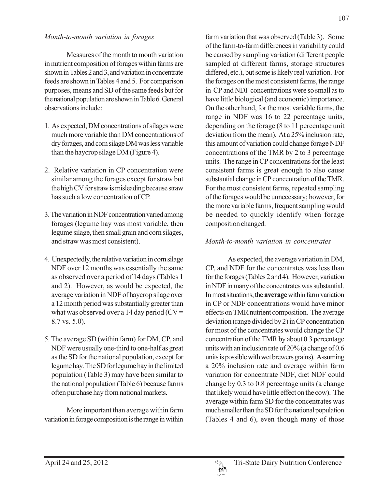Measures of the month to month variation in nutrient composition of forages within farms are shown in Tables 2 and 3, and variation in concentrate feeds are shown in Tables 4 and 5. For comparison purposes, means and SD of the same feeds but for the national population are shown in Table 6. General observations include:

- 1. As expected, DM concentrations of silages were much more variable than DM concentrations of dry forages, and corn silage DM was less variable than the haycrop silage DM (Figure 4).
- 2. Relative variation in CP concentration were similar among the forages except for straw but the high CV for straw is misleading because straw has such a low concentration of CP.
- 3. The variation in NDF concentration varied among forages (legume hay was most variable, then legume silage, then small grain and corn silages, and straw was most consistent).
- 4. Unexpectedly, the relative variation in corn silage NDF over 12 months was essentially the same as observed over a period of 14 days (Tables 1 and 2). However, as would be expected, the average variation in NDF of haycrop silage over a 12 month period was substantially greater than what was observed over a 14 day period  $(CV =$ 8.7 vs. 5.0).
- 5. The average SD (within farm) for DM, CP, and NDF were usually one-third to one-half as great as the SD for the national population, except for legume hay. The SD for legume hay in the limited population (Table 3) may have been similar to the national population (Table 6) because farms often purchase hay from national markets.

More important than average within farm variation in forage composition is the range in within 107

farm variation that was observed (Table 3). Some of the farm-to-farm differences in variability could be caused by sampling variation (different people sampled at different farms, storage structures differed, etc.), but some is likely real variation. For the forages on the most consistent farms, the range in CP and NDF concentrations were so small as to have little biological (and economic) importance. On the other hand, for the most variable farms, the range in NDF was 16 to 22 percentage units, depending on the forage (8 to 11 percentage unit deviation from the mean). At a 25% inclusion rate, this amount of variation could change forage NDF concentrations of the TMR by 2 to 3 percentage units. The range in CP concentrations for the least consistent farms is great enough to also cause substantial change in CP concentration of the TMR. For the most consistent farms, repeated sampling of the forages would be unnecessary; however, for the more variable farms, frequent sampling would be needed to quickly identify when forage composition changed.

### *Month-to-month variation in concentrates*

As expected, the average variation in DM, CP, and NDF for the concentrates was less than for the forages (Tables 2 and 4). However, variation in NDF in many of the concentrates was substantial. In most situations, the **average** within farm variation in CP or NDF concentrations would have minor effects on TMR nutrient composition. The average deviation (range divided by 2) in CP concentration for most of the concentrates would change the CP concentration of the TMR by about 0.3 percentage units with an inclusion rate of 20% (a change of 0.6 units is possible with wet brewers grains). Assuming a 20% inclusion rate and average within farm variation for concentrate NDF, diet NDF could change by 0.3 to 0.8 percentage units (a change that likely would have little effect on the cow). The average within farm SD for the concentrates was much smaller than the SD for the national population (Tables 4 and 6), even though many of those

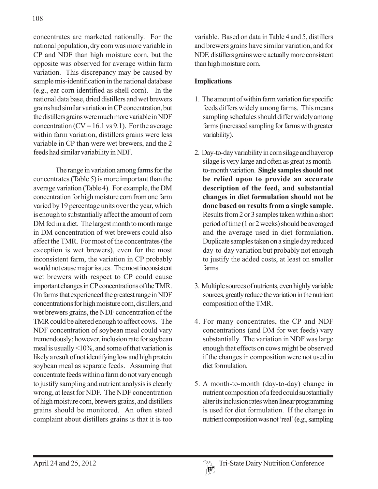concentrates are marketed nationally. For the national population, dry corn was more variable in CP and NDF than high moisture corn, but the opposite was observed for average within farm variation. This discrepancy may be caused by sample mis-identification in the national database (e.g., ear corn identified as shell corn). In the national data base, dried distillers and wet brewers grains had similar variation in CP concentration, but the distillers grains were much more variable in NDF concentration  $(CV = 16.1 \text{ vs } 9.1)$ . For the average within farm variation, distillers grains were less variable in CP than were wet brewers, and the 2 feeds had similar variability in NDF.

The range in variation among farms for the concentrates (Table 5) is more important than the average variation (Table 4). For example, the DM concentration for high moisture corn from one farm varied by 19 percentage units over the year, which is enough to substantially affect the amount of corn DM fed in a diet. The largest month to month range in DM concentration of wet brewers could also affect the TMR. For most of the concentrates (the exception is wet brewers), even for the most inconsistent farm, the variation in CP probably would not cause major issues. The most inconsistent wet brewers with respect to CP could cause important changes in CP concentrations of the TMR. On farms that experienced the greatest range in NDF concentrations for high moisture corn, distillers, and wet brewers grains, the NDF concentration of the TMR could be altered enough to affect cows. The NDF concentration of soybean meal could vary tremendously; however, inclusion rate for soybean meal is usually <10%, and some of that variation is likely a result of not identifying low and high protein soybean meal as separate feeds. Assuming that concentrate feeds within a farm do not vary enough to justify sampling and nutrient analysis is clearly wrong, at least for NDF. The NDF concentration of high moisture corn, brewers grains, and distillers grains should be monitored. An often stated complaint about distillers grains is that it is too

variable. Based on data in Table 4 and 5, distillers and brewers grains have similar variation, and for NDF, distillers grains were actually more consistent than high moisture corn.

## **Implications**

- 1. The amount of within farm variation for specific feeds differs widely among farms. This means sampling schedules should differ widely among farms (increased sampling for farms with greater variability).
- 2. Day-to-day variability in corn silage and haycrop silage is very large and often as great as monthto-month variation. **Single samples should not be relied upon to provide an accurate description of the feed, and substantial changes in diet formulation should not be done based on results from a single sample.** Results from 2 or 3 samples taken within a short period of time (1 or 2 weeks) should be averaged and the average used in diet formulation. Duplicate samples taken on a single day reduced day-to-day variation but probably not enough to justify the added costs, at least on smaller farms.
- 3. Multiple sources of nutrients, even highly variable sources, greatly reduce the variation in the nutrient composition of the TMR.
- 4. For many concentrates, the CP and NDF concentrations (and DM for wet feeds) vary substantially. The variation in NDF was large enough that effects on cows might be observed if the changes in composition were not used in diet formulation.
- 5. A month-to-month (day-to-day) change in nutrient composition of a feed could substantially alter its inclusion rates when linear programming is used for diet formulation. If the change in nutrient composition was not 'real' (e.g., sampling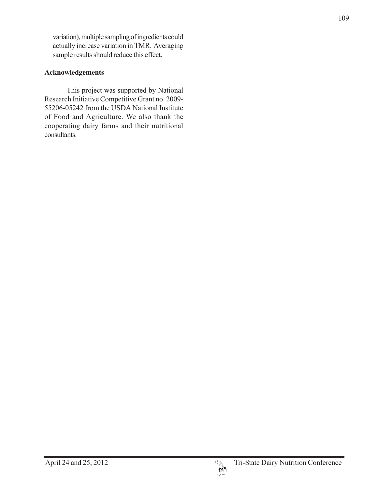variation), multiple sampling of ingredients could actually increase variation in TMR. Averaging sample results should reduce this effect.

# **Acknowledgements**

This project was supported by National Research Initiative Competitive Grant no. 2009- 55206-05242 from the USDA National Institute of Food and Agriculture. We also thank the cooperating dairy farms and their nutritional consultants.



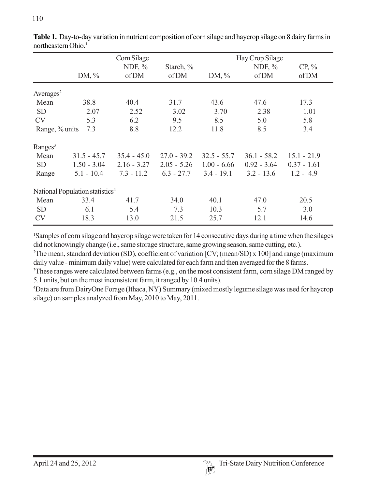|                                             |               | Corn Silage   |               |               | Hay Crop Silage |               |  |  |
|---------------------------------------------|---------------|---------------|---------------|---------------|-----------------|---------------|--|--|
|                                             |               | NDF, $\%$     | Starch, %     |               | NDF, $%$        | $CP, \%$      |  |  |
|                                             | DM, $\%$      | of DM         | of DM         | DM, $\%$      | of DM           | of DM         |  |  |
| Averages <sup>2</sup>                       |               |               |               |               |                 |               |  |  |
| Mean                                        | 38.8          | 40.4          | 31.7          | 43.6          | 47.6            | 17.3          |  |  |
| <b>SD</b>                                   | 2.07          | 2.52          | 3.02          | 3.70          | 2.38            | 1.01          |  |  |
| <b>CV</b>                                   | 5.3           | 6.2           | 9.5           | 8.5           | 5.0             | 5.8           |  |  |
| Range, % units                              | 7.3           | 8.8           | 12.2          | 11.8          | 8.5             | 3.4           |  |  |
| $\rm{Ranges}^3$                             |               |               |               |               |                 |               |  |  |
| Mean                                        | $31.5 - 45.7$ | $35.4 - 45.0$ | $27.0 - 39.2$ | $32.5 - 55.7$ | $36.1 - 58.2$   | $15.1 - 21.9$ |  |  |
| <b>SD</b>                                   | $1.50 - 3.04$ | $2.16 - 3.27$ | $2.05 - 5.26$ | $1.00 - 6.66$ | $0.92 - 3.64$   | $0.37 - 1.61$ |  |  |
| Range                                       | $5.1 - 10.4$  | $7.3 - 11.2$  | $6.3 - 27.7$  | $3.4 - 19.1$  | $3.2 - 13.6$    | $1.2 - 4.9$   |  |  |
| National Population statistics <sup>4</sup> |               |               |               |               |                 |               |  |  |
| Mean                                        | 33.4          | 41.7          | 34.0          | 40.1          | 47.0            | 20.5          |  |  |
| <b>SD</b>                                   | 6.1           | 5.4           | 7.3           | 10.3          | 5.7             | 3.0           |  |  |
| <b>CV</b>                                   | 18.3          | 13.0          | 21.5          | 25.7          | 12.1            | 14.6          |  |  |

**Table 1.** Day-to-day variation in nutrient composition of corn silage and haycrop silage on 8 dairy farms in northeastern Ohio.<sup>1</sup>

1 Samples of corn silage and haycrop silage were taken for 14 consecutive days during a time when the silages did not knowingly change (i.e., same storage structure, same growing season, same cutting, etc.).

2 The mean, standard deviation (SD), coefficient of variation [CV; (mean/SD) x 100] and range (maximum daily value - minimum daily value) were calculated for each farm and then averaged for the 8 farms.

<sup>3</sup>These ranges were calculated between farms (e.g., on the most consistent farm, corn silage DM ranged by 5.1 units, but on the most inconsistent farm, it ranged by 10.4 units).

4 Data are from DairyOne Forage (Ithaca, NY) Summary (mixed mostly legume silage was used for haycrop silage) on samples analyzed from May, 2010 to May, 2011.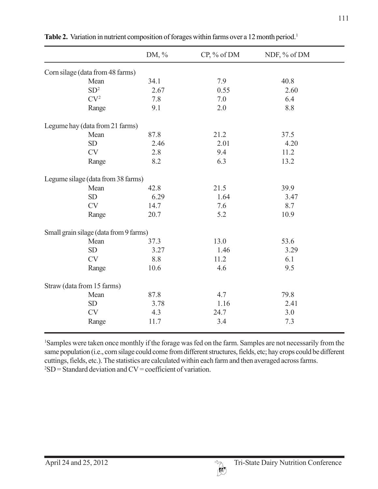|                                        | DM, % | CP, % of DM | NDF, % of DM |  |
|----------------------------------------|-------|-------------|--------------|--|
| Corn silage (data from 48 farms)       |       |             |              |  |
| Mean                                   | 34.1  | 7.9         | 40.8         |  |
| SD <sup>2</sup>                        | 2.67  | 0.55        | 2.60         |  |
| CV <sup>2</sup>                        | 7.8   | 7.0         | 6.4          |  |
| Range                                  | 9.1   | 2.0         | 8.8          |  |
| Legume hay (data from 21 farms)        |       |             |              |  |
| Mean                                   | 87.8  | 21.2        | 37.5         |  |
| <b>SD</b>                              | 2.46  | 2.01        | 4.20         |  |
| <b>CV</b>                              | 2.8   | 9.4         | 11.2         |  |
| Range                                  | 8.2   | 6.3         | 13.2         |  |
| Legume silage (data from 38 farms)     |       |             |              |  |
| Mean                                   | 42.8  | 21.5        | 39.9         |  |
| <b>SD</b>                              | 6.29  | 1.64        | 3.47         |  |
| <b>CV</b>                              | 14.7  | 7.6         | 8.7          |  |
| Range                                  | 20.7  | 5.2         | 10.9         |  |
| Small grain silage (data from 9 farms) |       |             |              |  |
| Mean                                   | 37.3  | 13.0        | 53.6         |  |
| <b>SD</b>                              | 3.27  | 1.46        | 3.29         |  |
| <b>CV</b>                              | 8.8   | 11.2        | 6.1          |  |
| Range                                  | 10.6  | 4.6         | 9.5          |  |
| Straw (data from 15 farms)             |       |             |              |  |
| Mean                                   | 87.8  | 4.7         | 79.8         |  |
| <b>SD</b>                              | 3.78  | 1.16        | 2.41         |  |
| <b>CV</b>                              | 4.3   | 24.7        | 3.0          |  |
| Range                                  | 11.7  | 3.4         | 7.3          |  |

Table 2. Variation in nutrient composition of forages within farms over a 12 month period.<sup>1</sup>

1 Samples were taken once monthly if the forage was fed on the farm. Samples are not necessarily from the same population (i.e., corn silage could come from different structures, fields, etc; hay crops could be different cuttings, fields, etc.). The statistics are calculated within each farm and then averaged across farms.  $2SD = Standard deviation$  and  $CV = coefficient$  of variation.

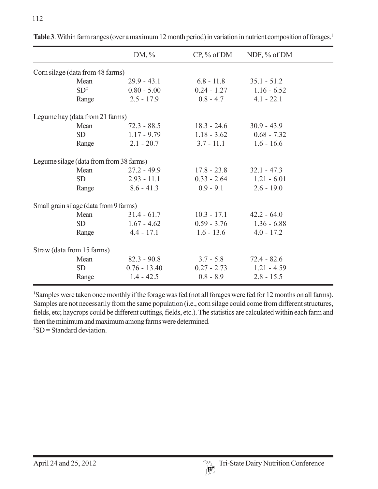|                                         | DM, $\%$       | $CP, \%$ of DM | NDF, $%$ of DM |  |
|-----------------------------------------|----------------|----------------|----------------|--|
| Corn silage (data from 48 farms)        |                |                |                |  |
| Mean                                    | $29.9 - 43.1$  | $6.8 - 11.8$   | $35.1 - 51.2$  |  |
| SD <sup>2</sup>                         | $0.80 - 5.00$  | $0.24 - 1.27$  | $1.16 - 6.52$  |  |
| Range                                   | $2.5 - 17.9$   | $0.8 - 4.7$    | $4.1 - 22.1$   |  |
| Legume hay (data from 21 farms)         |                |                |                |  |
| Mean                                    | $72.3 - 88.5$  | $18.3 - 24.6$  | $30.9 - 43.9$  |  |
| <b>SD</b>                               | $1.17 - 9.79$  | $1.18 - 3.62$  | $0.68 - 7.32$  |  |
| Range                                   | $2.1 - 20.7$   | $3.7 - 11.1$   | $1.6 - 16.6$   |  |
| Legume silage (data from from 38 farms) |                |                |                |  |
| Mean                                    | $27.2 - 49.9$  | $17.8 - 23.8$  | $32.1 - 47.3$  |  |
| <b>SD</b>                               | $2.93 - 11.1$  | $0.33 - 2.64$  | $1.21 - 6.01$  |  |
| Range                                   | $8.6 - 41.3$   | $0.9 - 9.1$    | $2.6 - 19.0$   |  |
| Small grain silage (data from 9 farms)  |                |                |                |  |
| Mean                                    | $31.4 - 61.7$  | $10.3 - 17.1$  | $42.2 - 64.0$  |  |
| <b>SD</b>                               | $1.67 - 4.62$  | $0.59 - 3.76$  | $1.36 - 6.88$  |  |
| Range                                   | $4.4 - 17.1$   | $1.6 - 13.6$   | $4.0 - 17.2$   |  |
| Straw (data from 15 farms)              |                |                |                |  |
| Mean                                    | $82.3 - 90.8$  | $3.7 - 5.8$    | $72.4 - 82.6$  |  |
| <b>SD</b>                               | $0.76 - 13.40$ | $0.27 - 2.73$  | $1.21 - 4.59$  |  |
| Range                                   | $1.4 - 42.5$   | $0.8 - 8.9$    | $2.8 - 15.5$   |  |

Table 3. Within farm ranges (over a maximum 12 month period) in variation in nutrient composition of forages.<sup>1</sup>

1 Samples were taken once monthly if the forage was fed (not all forages were fed for 12 months on all farms). Samples are not necessarily from the same population (i.e., corn silage could come from different structures, fields, etc; haycrops could be different cuttings, fields, etc.). The statistics are calculated within each farm and then the minimum and maximum among farms were determined.  $2SD = Standard deviation$ .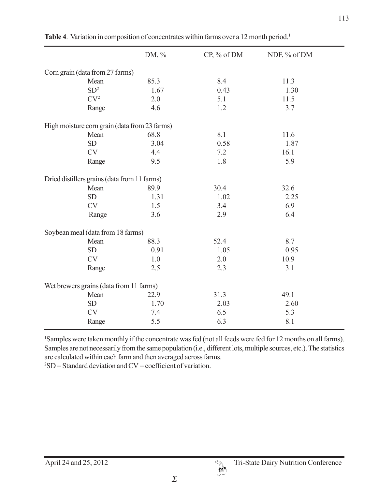|                                               | DM, $\%$ | $CP, \%$ of DM | NDF, % of DM |  |
|-----------------------------------------------|----------|----------------|--------------|--|
| Corn grain (data from 27 farms)               |          |                |              |  |
| Mean                                          | 85.3     | 8.4            | 11.3         |  |
| SD <sup>2</sup>                               | 1.67     | 0.43           | 1.30         |  |
| CV <sup>2</sup>                               | 2.0      | 5.1            | 11.5         |  |
| Range                                         | 4.6      | 1.2            | 3.7          |  |
| High moisture corn grain (data from 23 farms) |          |                |              |  |
| Mean                                          | 68.8     | 8.1            | 11.6         |  |
| <b>SD</b>                                     | 3.04     | 0.58           | 1.87         |  |
| <b>CV</b>                                     | 4.4      | 7.2            | 16.1         |  |
| Range                                         | 9.5      | 1.8            | 5.9          |  |
| Dried distillers grains (data from 11 farms)  |          |                |              |  |
| Mean                                          | 89.9     | 30.4           | 32.6         |  |
| <b>SD</b>                                     | 1.31     | 1.02           | 2.25         |  |
| <b>CV</b>                                     | 1.5      | 3.4            | 6.9          |  |
| Range                                         | 3.6      | 2.9            | 6.4          |  |
| Soybean meal (data from 18 farms)             |          |                |              |  |
| Mean                                          | 88.3     | 52.4           | 8.7          |  |
| <b>SD</b>                                     | 0.91     | 1.05           | 0.95         |  |
| <b>CV</b>                                     | 1.0      | 2.0            | 10.9         |  |
| Range                                         | 2.5      | 2.3            | 3.1          |  |
| Wet brewers grains (data from 11 farms)       |          |                |              |  |
| Mean                                          | 22.9     | 31.3           | 49.1         |  |
| <b>SD</b>                                     | 1.70     | 2.03           | 2.60         |  |
| <b>CV</b>                                     | 7.4      | 6.5            | 5.3          |  |
| Range                                         | 5.5      | 6.3            | 8.1          |  |

1 Samples were taken monthly if the concentrate was fed (not all feeds were fed for 12 months on all farms). Samples are not necessarily from the same population (i.e., different lots, multiple sources, etc.). The statistics are calculated within each farm and then averaged across farms.

 $2SD = Standard deviation$  and  $CV = coefficient$  of variation.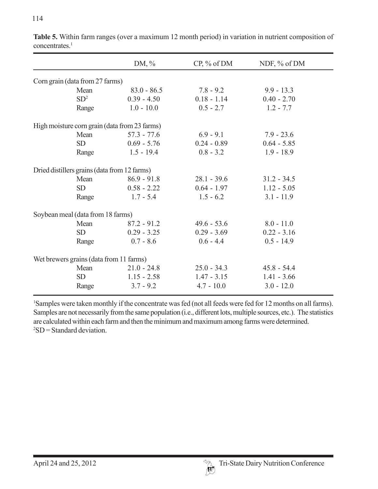114

|                                               | DM, $\%$      | $CP, \%$ of DM | NDF, % of DM  |
|-----------------------------------------------|---------------|----------------|---------------|
| Corn grain (data from 27 farms)               |               |                |               |
| Mean                                          | $83.0 - 86.5$ | $7.8 - 9.2$    | $9.9 - 13.3$  |
| SD <sup>2</sup>                               | $0.39 - 4.50$ | $0.18 - 1.14$  | $0.40 - 2.70$ |
| Range                                         | $1.0 - 10.0$  | $0.5 - 2.7$    | $1.2 - 7.7$   |
| High moisture corn grain (data from 23 farms) |               |                |               |
| Mean                                          | $57.3 - 77.6$ | $6.9 - 9.1$    | $7.9 - 23.6$  |
| <b>SD</b>                                     | $0.69 - 5.76$ | $0.24 - 0.89$  | $0.64 - 5.85$ |
| Range                                         | $1.5 - 19.4$  | $0.8 - 3.2$    | $1.9 - 18.9$  |
| Dried distillers grains (data from 12 farms)  |               |                |               |
| Mean                                          | $86.9 - 91.8$ | $28.1 - 39.6$  | $31.2 - 34.5$ |
| <b>SD</b>                                     | $0.58 - 2.22$ | $0.64 - 1.97$  | $1.12 - 5.05$ |
| Range                                         | $1.7 - 5.4$   | $1.5 - 6.2$    | $3.1 - 11.9$  |
| Soybean meal (data from 18 farms)             |               |                |               |
| Mean                                          | $87.2 - 91.2$ | $49.6 - 53.6$  | $8.0 - 11.0$  |
| <b>SD</b>                                     | $0.29 - 3.25$ | $0.29 - 3.69$  | $0.22 - 3.16$ |
| Range                                         | $0.7 - 8.6$   | $0.6 - 4.4$    | $0.5 - 14.9$  |
| Wet brewers grains (data from 11 farms)       |               |                |               |
| Mean                                          | $21.0 - 24.8$ | $25.0 - 34.3$  | $45.8 - 54.4$ |
| <b>SD</b>                                     | $1.15 - 2.58$ | $1.47 - 3.15$  | $1.41 - 3.66$ |
| Range                                         | $3.7 - 9.2$   | $4.7 - 10.0$   | $3.0 - 12.0$  |

**Table 5.** Within farm ranges (over a maximum 12 month period) in variation in nutrient composition of concentrates.<sup>1</sup>

1 Samples were taken monthly if the concentrate was fed (not all feeds were fed for 12 months on all farms). Samples are not necessarily from the same population (i.e., different lots, multiple sources, etc.). The statistics are calculated within each farm and then the minimum and maximum among farms were determined.  $2SD = Standard deviation$ .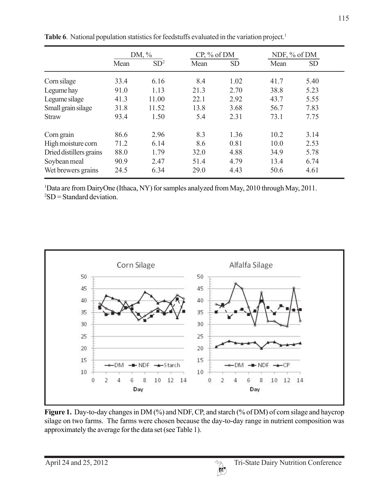|                         | DM, $\%$ |                 | $CP, \%$ of DM |           | NDF, % of DM |           |  |
|-------------------------|----------|-----------------|----------------|-----------|--------------|-----------|--|
|                         | Mean     | SD <sup>2</sup> | Mean           | <b>SD</b> | Mean         | <b>SD</b> |  |
| Corn silage             | 33.4     | 6.16            | 8.4            | 1.02      | 41.7         | 5.40      |  |
| Legume hay              | 91.0     | 1.13            | 21.3           | 2.70      | 38.8         | 5.23      |  |
| Legume silage           | 41.3     | 11.00           | 22.1           | 2.92      | 43.7         | 5.55      |  |
| Small grain silage      | 31.8     | 11.52           | 13.8           | 3.68      | 56.7         | 7.83      |  |
| <b>Straw</b>            | 93.4     | 1.50            | 5.4            | 2.31      | 73.1         | 7.75      |  |
| Corn grain              | 86.6     | 2.96            | 8.3            | 1.36      | 10.2         | 3.14      |  |
| High moisture corn      | 71.2     | 6.14            | 8.6            | 0.81      | 10.0         | 2.53      |  |
| Dried distillers grains | 88.0     | 1.79            | 32.0           | 4.88      | 34.9         | 5.78      |  |
| Soybean meal            | 90.9     | 2.47            | 51.4           | 4.79      | 13.4         | 6.74      |  |
| Wet brewers grains      | 24.5     | 6.34            | 29.0           | 4.43      | 50.6         | 4.61      |  |

Table 6. National population statistics for feedstuffs evaluated in the variation project.<sup>1</sup>

1 Data are from DairyOne (Ithaca, NY) for samples analyzed from May, 2010 through May, 2011.  ${}^{2}SD =$  Standard deviation.



Figure 1. Day-to-day changes in DM (%) and NDF, CP, and starch (% of DM) of corn silage and haycrop silage on two farms. The farms were chosen because the day-to-day range in nutrient composition was approximately the average for the data set (see Table 1).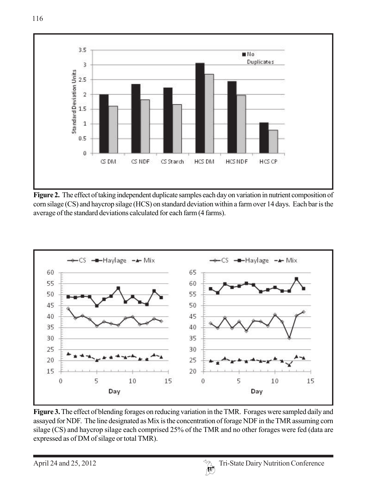

**Figure 2.** The effect of taking independent duplicate samples each day on variation in nutrient composition of corn silage (CS) and haycrop silage (HCS) on standard deviation within a farm over 14 days. Each bar is the average of the standard deviations calculated for each farm (4 farms).



**Figure 3.** The effect of blending forages on reducing variation in the TMR. Forages were sampled daily and assayed for NDF. The line designated as Mix is the concentration of forage NDF in the TMR assuming corn silage (CS) and haycrop silage each comprised 25% of the TMR and no other forages were fed (data are expressed as of DM of silage or total TMR).